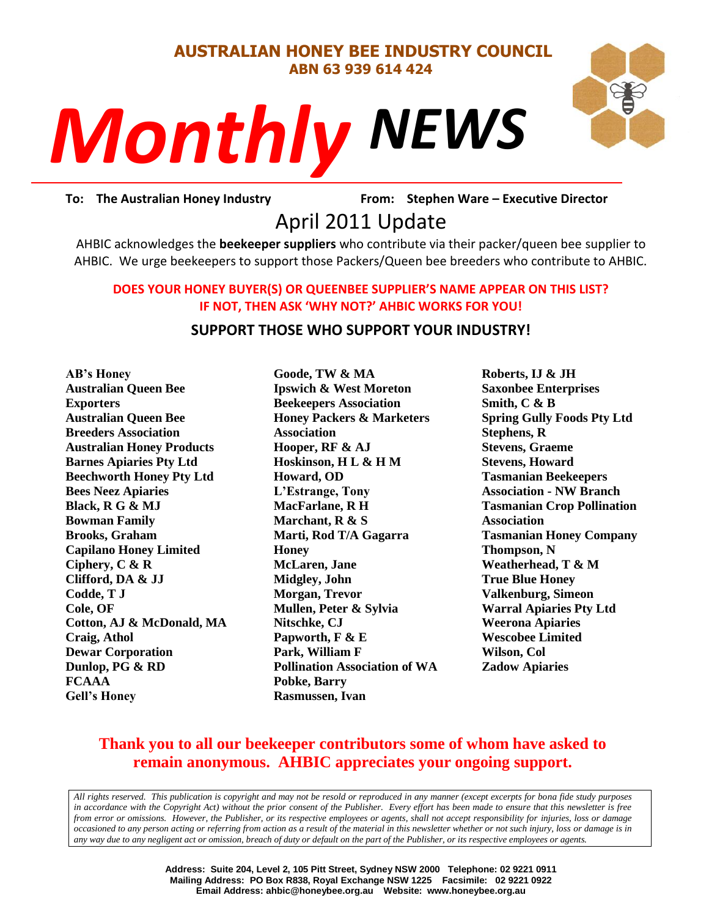#### **AUSTRALIAN HONEY BEE INDUSTRY COUNCIL ABN 63 939 614 424**



# *NEWS Monthly*

To: The Australian Honey Industry **From: Stephen Ware - Executive Director** 

## From: Stephen<br> *PS*From: Stephen

AHBIC acknowledges the **beekeeper suppliers** who contribute via their packer/queen bee supplier to AHBIC. We urge beekeepers to support those Packers/Queen bee breeders who contribute to AHBIC.

#### **DOES YOUR HONEY BUYER(S) OR QUEENBEE SUPPLIER'S NAME APPEAR ON THIS LIST? IF NOT, THEN ASK 'WHY NOT?' AHBIC WORKS FOR YOU!**

#### **SUPPORT THOSE WHO SUPPORT YOUR INDUSTRY!**

**AB's Honey Australian Queen Bee Exporters Australian Queen Bee Breeders Association Australian Honey Products Barnes Apiaries Pty Ltd Beechworth Honey Pty Ltd Bees Neez Apiaries Black, R G & MJ Bowman Family Brooks, Graham Capilano Honey Limited Ciphery, C & R Clifford, DA & JJ Codde, T J Cole, OF Cotton, AJ & McDonald, MA Craig, Athol Dewar Corporation Dunlop, PG & RD FCAAA Gell's Honey**

**Goode, TW & MA Ipswich & West Moreton Beekeepers Association Honey Packers & Marketers Association Hooper, RF & AJ Hoskinson, H L & H M Howard, OD L'Estrange, Tony MacFarlane, R H Marchant, R & S Marti, Rod T/A Gagarra Honey McLaren, Jane Midgley, John Morgan, Trevor Mullen, Peter & Sylvia Nitschke, CJ Papworth, F & E Park, William F Pollination Association of WA Pobke, Barry Rasmussen, Ivan**

**Roberts, IJ & JH Saxonbee Enterprises Smith, C & B Spring Gully Foods Pty Ltd Stephens, R Stevens, Graeme Stevens, Howard Tasmanian Beekeepers Association - NW Branch Tasmanian Crop Pollination Association Tasmanian Honey Company Thompson, N Weatherhead, T & M True Blue Honey Valkenburg, Simeon Warral Apiaries Pty Ltd Weerona Apiaries Wescobee Limited Wilson, Col Zadow Apiaries**

### **Thank you to all our beekeeper contributors some of whom have asked to remain anonymous. AHBIC appreciates your ongoing support.**

*All rights reserved. This publication is copyright and may not be resold or reproduced in any manner (except excerpts for bona fide study purposes in accordance with the Copyright Act) without the prior consent of the Publisher. Every effort has been made to ensure that this newsletter is free from error or omissions. However, the Publisher, or its respective employees or agents, shall not accept responsibility for injuries, loss or damage occasioned to any person acting or referring from action as a result of the material in this newsletter whether or not such injury, loss or damage is in any way due to any negligent act or omission, breach of duty or default on the part of the Publisher, or its respective employees or agents.*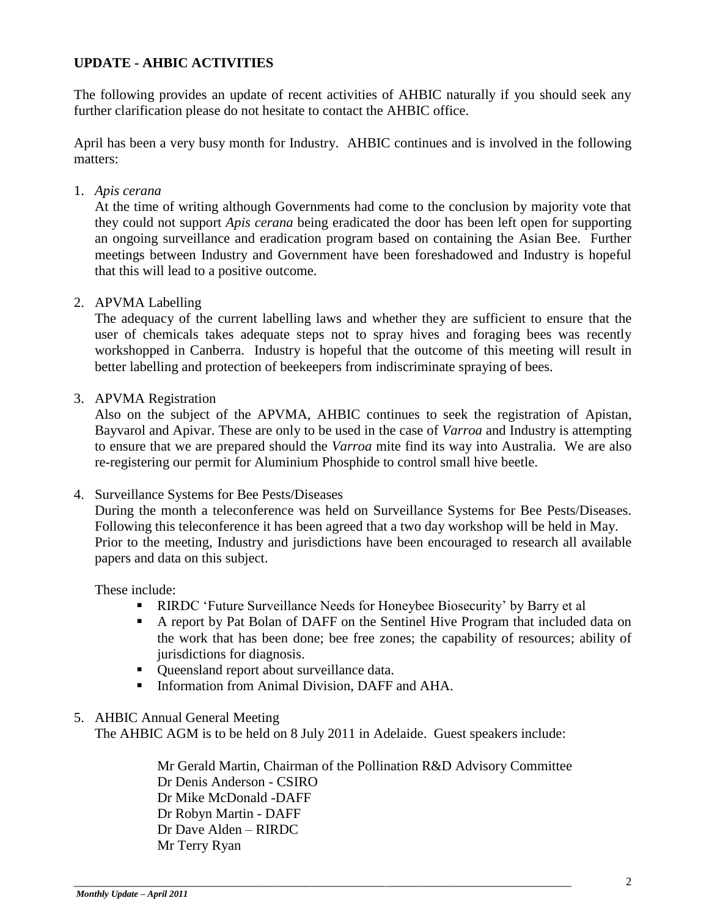#### **UPDATE - AHBIC ACTIVITIES**

The following provides an update of recent activities of AHBIC naturally if you should seek any further clarification please do not hesitate to contact the AHBIC office.

April has been a very busy month for Industry. AHBIC continues and is involved in the following matters:

1. *Apis cerana*

At the time of writing although Governments had come to the conclusion by majority vote that they could not support *Apis cerana* being eradicated the door has been left open for supporting an ongoing surveillance and eradication program based on containing the Asian Bee. Further meetings between Industry and Government have been foreshadowed and Industry is hopeful that this will lead to a positive outcome.

2. APVMA Labelling

The adequacy of the current labelling laws and whether they are sufficient to ensure that the user of chemicals takes adequate steps not to spray hives and foraging bees was recently workshopped in Canberra. Industry is hopeful that the outcome of this meeting will result in better labelling and protection of beekeepers from indiscriminate spraying of bees.

3. APVMA Registration

Also on the subject of the APVMA, AHBIC continues to seek the registration of Apistan, Bayvarol and Apivar. These are only to be used in the case of *Varroa* and Industry is attempting to ensure that we are prepared should the *Varroa* mite find its way into Australia. We are also re-registering our permit for Aluminium Phosphide to control small hive beetle.

4. Surveillance Systems for Bee Pests/Diseases

During the month a teleconference was held on Surveillance Systems for Bee Pests/Diseases. Following this teleconference it has been agreed that a two day workshop will be held in May. Prior to the meeting, Industry and jurisdictions have been encouraged to research all available papers and data on this subject.

These include:

- **RIRDC** 'Future Surveillance Needs for Honeybee Biosecurity' by Barry et al
- A report by Pat Bolan of DAFF on the Sentinel Hive Program that included data on the work that has been done; bee free zones; the capability of resources; ability of jurisdictions for diagnosis.
- Queensland report about surveillance data.
- Information from Animal Division, DAFF and AHA.

#### 5. AHBIC Annual General Meeting

The AHBIC AGM is to be held on 8 July 2011 in Adelaide. Guest speakers include:

\_\_\_\_\_\_\_\_\_\_\_\_\_\_\_\_\_\_\_\_\_\_\_\_\_\_\_\_\_\_\_\_\_\_\_\_\_\_\_\_\_\_\_\_\_\_\_\_\_\_\_\_\_\_\_\_\_\_\_\_\_\_\_\_\_\_\_\_\_\_\_\_\_\_\_\_\_\_\_\_\_\_\_\_\_\_

Mr Gerald Martin, Chairman of the Pollination R&D Advisory Committee Dr Denis Anderson - CSIRO Dr Mike McDonald -DAFF Dr Robyn Martin - DAFF Dr Dave Alden – RIRDC Mr Terry Ryan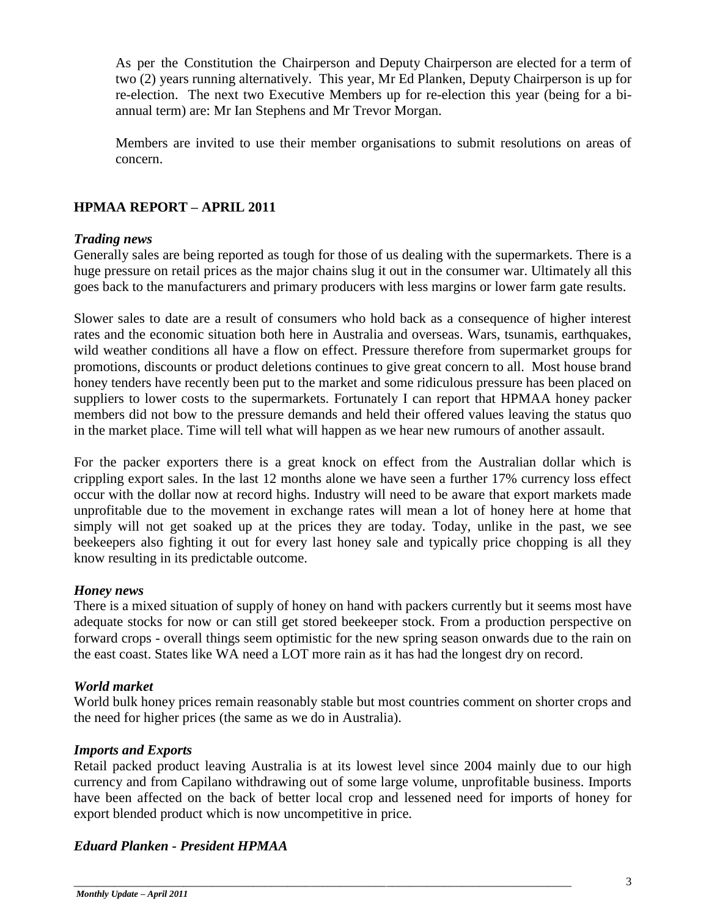As per the Constitution the Chairperson and Deputy Chairperson are elected for a term of two (2) years running alternatively. This year, Mr Ed Planken, Deputy Chairperson is up for re-election. The next two Executive Members up for re-election this year (being for a biannual term) are: Mr Ian Stephens and Mr Trevor Morgan.

Members are invited to use their member organisations to submit resolutions on areas of concern.

#### **HPMAA REPORT – APRIL 2011**

#### *Trading news*

Generally sales are being reported as tough for those of us dealing with the supermarkets. There is a huge pressure on retail prices as the major chains slug it out in the consumer war. Ultimately all this goes back to the manufacturers and primary producers with less margins or lower farm gate results.

Slower sales to date are a result of consumers who hold back as a consequence of higher interest rates and the economic situation both here in Australia and overseas. Wars, tsunamis, earthquakes, wild weather conditions all have a flow on effect. Pressure therefore from supermarket groups for promotions, discounts or product deletions continues to give great concern to all. Most house brand honey tenders have recently been put to the market and some ridiculous pressure has been placed on suppliers to lower costs to the supermarkets. Fortunately I can report that HPMAA honey packer members did not bow to the pressure demands and held their offered values leaving the status quo in the market place. Time will tell what will happen as we hear new rumours of another assault.

For the packer exporters there is a great knock on effect from the Australian dollar which is crippling export sales. In the last 12 months alone we have seen a further 17% currency loss effect occur with the dollar now at record highs. Industry will need to be aware that export markets made unprofitable due to the movement in exchange rates will mean a lot of honey here at home that simply will not get soaked up at the prices they are today. Today, unlike in the past, we see beekeepers also fighting it out for every last honey sale and typically price chopping is all they know resulting in its predictable outcome.

#### *Honey news*

There is a mixed situation of supply of honey on hand with packers currently but it seems most have adequate stocks for now or can still get stored beekeeper stock. From a production perspective on forward crops - overall things seem optimistic for the new spring season onwards due to the rain on the east coast. States like WA need a LOT more rain as it has had the longest dry on record.

#### *World market*

World bulk honey prices remain reasonably stable but most countries comment on shorter crops and the need for higher prices (the same as we do in Australia).

#### *Imports and Exports*

Retail packed product leaving Australia is at its lowest level since 2004 mainly due to our high currency and from Capilano withdrawing out of some large volume, unprofitable business. Imports have been affected on the back of better local crop and lessened need for imports of honey for export blended product which is now uncompetitive in price.

#### *Eduard Planken - President HPMAA*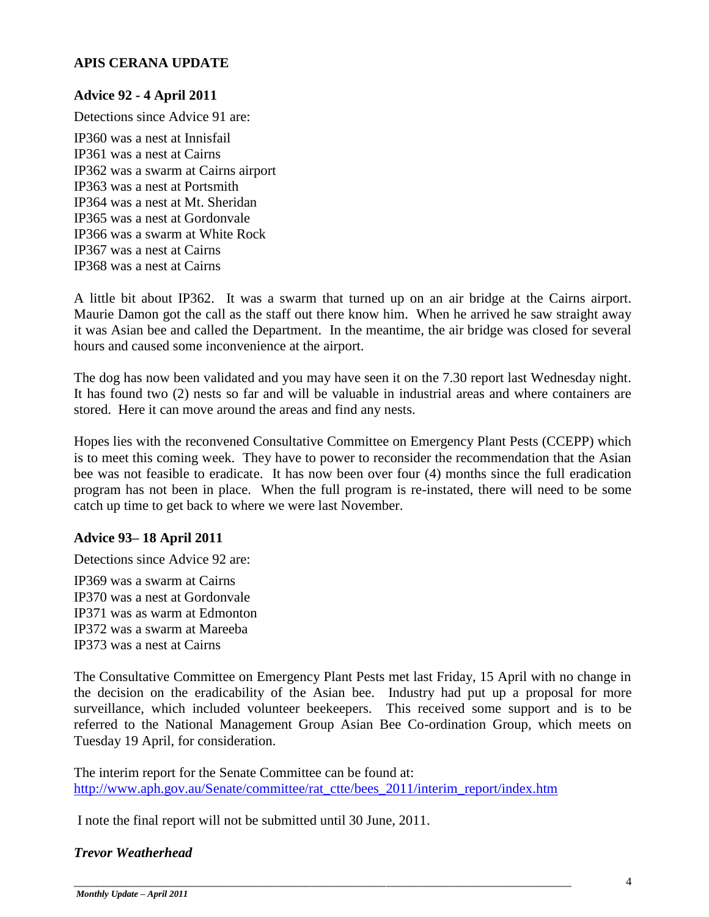#### **APIS CERANA UPDATE**

#### **Advice 92 - 4 April 2011**

Detections since Advice 91 are:

IP360 was a nest at Innisfail IP361 was a nest at Cairns IP362 was a swarm at Cairns airport IP363 was a nest at Portsmith IP364 was a nest at Mt. Sheridan IP365 was a nest at Gordonvale IP366 was a swarm at White Rock IP367 was a nest at Cairns IP368 was a nest at Cairns

A little bit about IP362. It was a swarm that turned up on an air bridge at the Cairns airport. Maurie Damon got the call as the staff out there know him. When he arrived he saw straight away it was Asian bee and called the Department. In the meantime, the air bridge was closed for several hours and caused some inconvenience at the airport.

The dog has now been validated and you may have seen it on the 7.30 report last Wednesday night. It has found two (2) nests so far and will be valuable in industrial areas and where containers are stored. Here it can move around the areas and find any nests.

Hopes lies with the reconvened Consultative Committee on Emergency Plant Pests (CCEPP) which is to meet this coming week. They have to power to reconsider the recommendation that the Asian bee was not feasible to eradicate. It has now been over four (4) months since the full eradication program has not been in place. When the full program is re-instated, there will need to be some catch up time to get back to where we were last November.

#### **Advice 93– 18 April 2011**

Detections since Advice 92 are:

IP369 was a swarm at Cairns IP370 was a nest at Gordonvale IP371 was as warm at Edmonton IP372 was a swarm at Mareeba IP373 was a nest at Cairns

The Consultative Committee on Emergency Plant Pests met last Friday, 15 April with no change in the decision on the eradicability of the Asian bee. Industry had put up a proposal for more surveillance, which included volunteer beekeepers. This received some support and is to be referred to the National Management Group Asian Bee Co-ordination Group, which meets on Tuesday 19 April, for consideration.

The interim report for the Senate Committee can be found at: [http://www.aph.gov.au/Senate/committee/rat\\_ctte/bees\\_2011/interim\\_report/index.htm](http://www.aph.gov.au/Senate/committee/rat_ctte/bees_2011/interim_report/index.htm)

\_\_\_\_\_\_\_\_\_\_\_\_\_\_\_\_\_\_\_\_\_\_\_\_\_\_\_\_\_\_\_\_\_\_\_\_\_\_\_\_\_\_\_\_\_\_\_\_\_\_\_\_\_\_\_\_\_\_\_\_\_\_\_\_\_\_\_\_\_\_\_\_\_\_\_\_\_\_\_\_\_\_\_\_\_\_

I note the final report will not be submitted until 30 June, 2011.

#### *Trevor Weatherhead*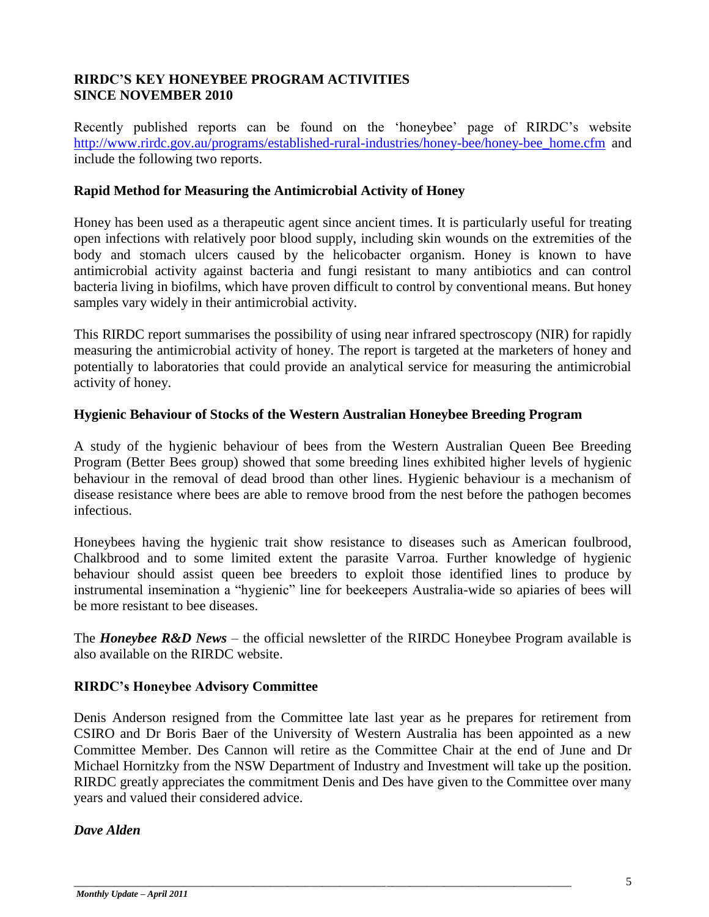#### **RIRDC'S KEY HONEYBEE PROGRAM ACTIVITIES SINCE NOVEMBER 2010**

Recently published reports can be found on the "honeybee" page of RIRDC"s website [http://www.rirdc.gov.au/programs/established-rural-industries/honey-bee/honey-bee\\_home.cfm](http://www.rirdc.gov.au/programs/established-rural-industries/honey-bee/honey-bee_home.cfm) and include the following two reports.

#### **Rapid Method for Measuring the Antimicrobial Activity of Honey**

Honey has been used as a therapeutic agent since ancient times. It is particularly useful for treating open infections with relatively poor blood supply, including skin wounds on the extremities of the body and stomach ulcers caused by the helicobacter organism. Honey is known to have antimicrobial activity against bacteria and fungi resistant to many antibiotics and can control bacteria living in biofilms, which have proven difficult to control by conventional means. But honey samples vary widely in their antimicrobial activity.

This RIRDC report summarises the possibility of using near infrared spectroscopy (NIR) for rapidly measuring the antimicrobial activity of honey. The report is targeted at the marketers of honey and potentially to laboratories that could provide an analytical service for measuring the antimicrobial activity of honey.

#### **Hygienic Behaviour of Stocks of the Western Australian Honeybee Breeding Program**

A study of the hygienic behaviour of bees from the Western Australian Queen Bee Breeding Program (Better Bees group) showed that some breeding lines exhibited higher levels of hygienic behaviour in the removal of dead brood than other lines. Hygienic behaviour is a mechanism of disease resistance where bees are able to remove brood from the nest before the pathogen becomes infectious.

Honeybees having the hygienic trait show resistance to diseases such as American foulbrood, Chalkbrood and to some limited extent the parasite Varroa. Further knowledge of hygienic behaviour should assist queen bee breeders to exploit those identified lines to produce by instrumental insemination a "hygienic" line for beekeepers Australia-wide so apiaries of bees will be more resistant to bee diseases.

The *Honeybee R&D News* – the official newsletter of the RIRDC Honeybee Program available is also available on the RIRDC website.

#### **RIRDC's Honeybee Advisory Committee**

Denis Anderson resigned from the Committee late last year as he prepares for retirement from CSIRO and Dr Boris Baer of the University of Western Australia has been appointed as a new Committee Member. Des Cannon will retire as the Committee Chair at the end of June and Dr Michael Hornitzky from the NSW Department of Industry and Investment will take up the position. RIRDC greatly appreciates the commitment Denis and Des have given to the Committee over many years and valued their considered advice.

\_\_\_\_\_\_\_\_\_\_\_\_\_\_\_\_\_\_\_\_\_\_\_\_\_\_\_\_\_\_\_\_\_\_\_\_\_\_\_\_\_\_\_\_\_\_\_\_\_\_\_\_\_\_\_\_\_\_\_\_\_\_\_\_\_\_\_\_\_\_\_\_\_\_\_\_\_\_\_\_\_\_\_\_\_\_

#### *Dave Alden*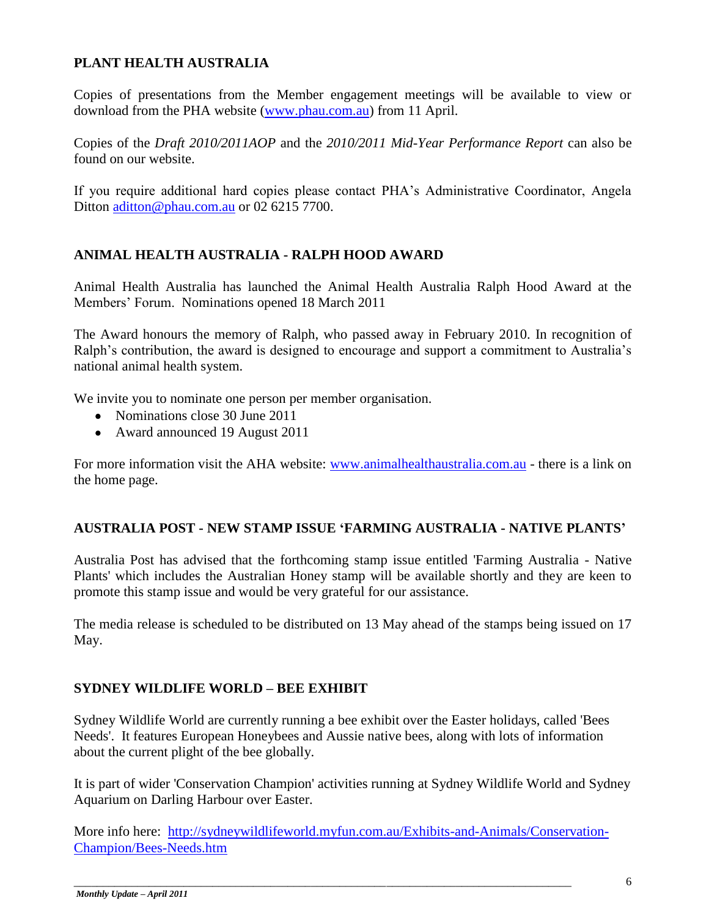#### **PLANT HEALTH AUSTRALIA**

Copies of presentations from the Member engagement meetings will be available to view or download from the PHA website [\(www.phau.com.au\)](http://www.phau.com.au/) from 11 April.

Copies of the *Draft 2010/2011AOP* and the *2010/2011 Mid-Year Performance Report* can also be found on our website.

If you require additional hard copies please contact PHA"s Administrative Coordinator, Angela Ditton [aditton@phau.com.au](mailto:aditton@phau.com.au) or 02 6215 7700.

#### **ANIMAL HEALTH AUSTRALIA - RALPH HOOD AWARD**

Animal Health Australia has launched the Animal Health Australia Ralph Hood Award at the Members" Forum. Nominations opened 18 March 2011

The Award honours the memory of Ralph, who passed away in February 2010. In recognition of Ralph"s contribution, the award is designed to encourage and support a commitment to Australia"s national animal health system.

We invite you to nominate one person per member organisation.

- Nominations close 30 June 2011
- Award announced 19 August 2011

For more information visit the AHA website: [www.animalhealthaustralia.com.au](http://www.animalhealthaustralia.com.au/) - there is a link on the home page.

#### **AUSTRALIA POST - NEW STAMP ISSUE 'FARMING AUSTRALIA - NATIVE PLANTS'**

Australia Post has advised that the forthcoming stamp issue entitled 'Farming Australia - Native Plants' which includes the Australian Honey stamp will be available shortly and they are keen to promote this stamp issue and would be very grateful for our assistance.

The media release is scheduled to be distributed on 13 May ahead of the stamps being issued on 17 May.

#### **SYDNEY WILDLIFE WORLD – BEE EXHIBIT**

Sydney Wildlife World are currently running a bee exhibit over the Easter holidays, called 'Bees Needs'. It features European Honeybees and Aussie native bees, along with lots of information about the current plight of the bee globally.

It is part of wider 'Conservation Champion' activities running at Sydney Wildlife World and Sydney Aquarium on Darling Harbour over Easter.

More info here: [http://sydneywildlifeworld.myfun.com.au/Exhibits-and-Animals/Conservation-](http://sydneywildlifeworld.myfun.com.au/Exhibits-and-Animals/Conservation-Champion/Bees-Needs.htm)[Champion/Bees-Needs.htm](http://sydneywildlifeworld.myfun.com.au/Exhibits-and-Animals/Conservation-Champion/Bees-Needs.htm)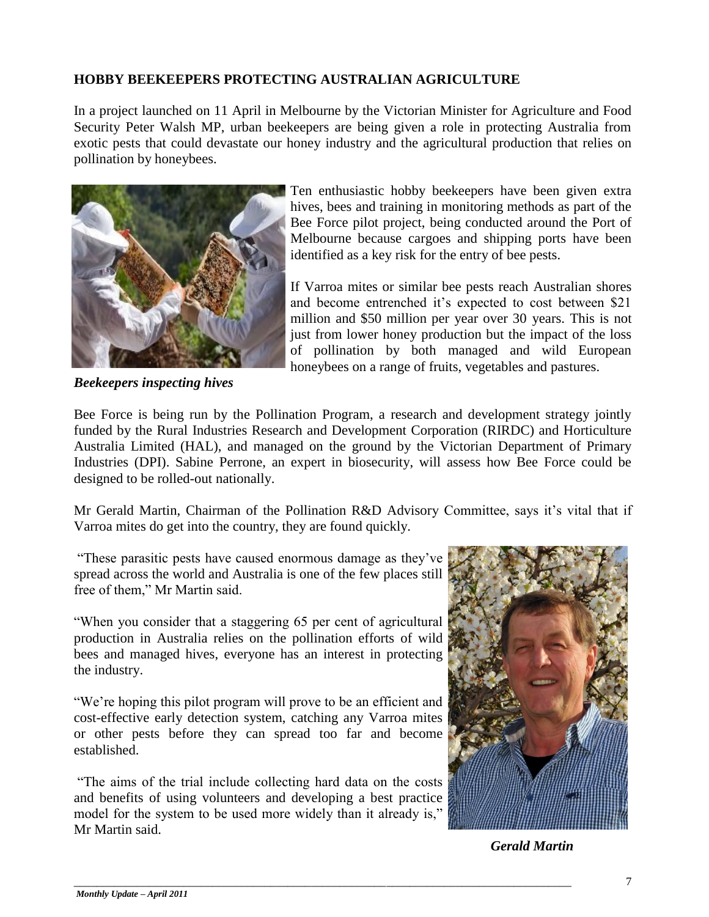#### **HOBBY BEEKEEPERS PROTECTING AUSTRALIAN AGRICULTURE**

In a project launched on 11 April in Melbourne by the Victorian Minister for Agriculture and Food Security Peter Walsh MP, urban beekeepers are being given a role in protecting Australia from exotic pests that could devastate our honey industry and the agricultural production that relies on pollination by honeybees.



*Beekeepers inspecting hives*

Ten enthusiastic hobby beekeepers have been given extra hives, bees and training in monitoring methods as part of the Bee Force pilot project, being conducted around the Port of Melbourne because cargoes and shipping ports have been identified as a key risk for the entry of bee pests.

If Varroa mites or similar bee pests reach Australian shores and become entrenched it's expected to cost between \$21 million and \$50 million per year over 30 years. This is not just from lower honey production but the impact of the loss of pollination by both managed and wild European honeybees on a range of fruits, vegetables and pastures.

Bee Force is being run by the Pollination Program, a research and development strategy jointly funded by the Rural Industries Research and Development Corporation (RIRDC) and Horticulture Australia Limited (HAL), and managed on the ground by the Victorian Department of Primary Industries (DPI). Sabine Perrone, an expert in biosecurity, will assess how Bee Force could be designed to be rolled-out nationally.

Mr Gerald Martin, Chairman of the Pollination R&D Advisory Committee, says it's vital that if Varroa mites do get into the country, they are found quickly.

"These parasitic pests have caused enormous damage as they"ve spread across the world and Australia is one of the few places still free of them," Mr Martin said.

"When you consider that a staggering 65 per cent of agricultural production in Australia relies on the pollination efforts of wild bees and managed hives, everyone has an interest in protecting the industry.

"We"re hoping this pilot program will prove to be an efficient and cost-effective early detection system, catching any Varroa mites or other pests before they can spread too far and become established.

"The aims of the trial include collecting hard data on the costs and benefits of using volunteers and developing a best practice model for the system to be used more widely than it already is," Mr Martin said.



*Gerald Martin*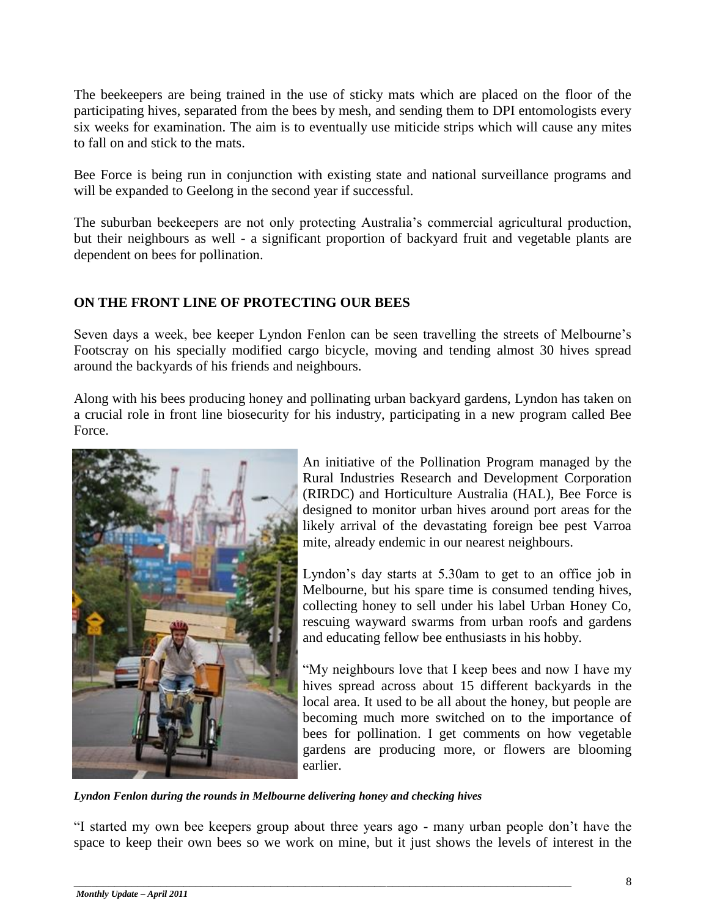The beekeepers are being trained in the use of sticky mats which are placed on the floor of the participating hives, separated from the bees by mesh, and sending them to DPI entomologists every six weeks for examination. The aim is to eventually use miticide strips which will cause any mites to fall on and stick to the mats.

Bee Force is being run in conjunction with existing state and national surveillance programs and will be expanded to Geelong in the second year if successful.

The suburban beekeepers are not only protecting Australia"s commercial agricultural production, but their neighbours as well - a significant proportion of backyard fruit and vegetable plants are dependent on bees for pollination.

#### **ON THE FRONT LINE OF PROTECTING OUR BEES**

Seven days a week, bee keeper Lyndon Fenlon can be seen travelling the streets of Melbourne"s Footscray on his specially modified cargo bicycle, moving and tending almost 30 hives spread around the backyards of his friends and neighbours.

Along with his bees producing honey and pollinating urban backyard gardens, Lyndon has taken on a crucial role in front line biosecurity for his industry, participating in a new program called Bee Force.



An initiative of the Pollination Program managed by the Rural Industries Research and Development Corporation (RIRDC) and Horticulture Australia (HAL), Bee Force is designed to monitor urban hives around port areas for the likely arrival of the devastating foreign bee pest Varroa mite, already endemic in our nearest neighbours.

Lyndon"s day starts at 5.30am to get to an office job in Melbourne, but his spare time is consumed tending hives, collecting honey to sell under his label Urban Honey Co, rescuing wayward swarms from urban roofs and gardens and educating fellow bee enthusiasts in his hobby.

"My neighbours love that I keep bees and now I have my hives spread across about 15 different backyards in the local area. It used to be all about the honey, but people are becoming much more switched on to the importance of bees for pollination. I get comments on how vegetable gardens are producing more, or flowers are blooming earlier.

*Lyndon Fenlon during the rounds in Melbourne delivering honey and checking hives*

"I started my own bee keepers group about three years ago - many urban people don"t have the space to keep their own bees so we work on mine, but it just shows the levels of interest in the

\_\_\_\_\_\_\_\_\_\_\_\_\_\_\_\_\_\_\_\_\_\_\_\_\_\_\_\_\_\_\_\_\_\_\_\_\_\_\_\_\_\_\_\_\_\_\_\_\_\_\_\_\_\_\_\_\_\_\_\_\_\_\_\_\_\_\_\_\_\_\_\_\_\_\_\_\_\_\_\_\_\_\_\_\_\_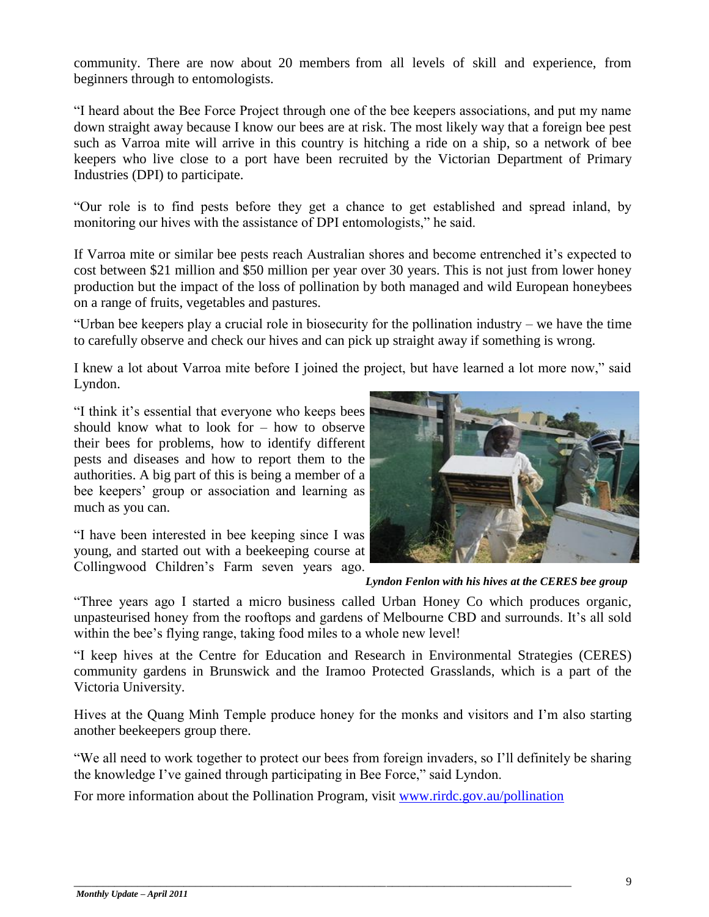community. There are now about 20 members from all levels of skill and experience, from beginners through to entomologists.

"I heard about the Bee Force Project through one of the bee keepers associations, and put my name down straight away because I know our bees are at risk. The most likely way that a foreign bee pest such as Varroa mite will arrive in this country is hitching a ride on a ship, so a network of bee keepers who live close to a port have been recruited by the Victorian Department of Primary Industries (DPI) to participate.

"Our role is to find pests before they get a chance to get established and spread inland, by monitoring our hives with the assistance of DPI entomologists," he said.

If Varroa mite or similar bee pests reach Australian shores and become entrenched it's expected to cost between \$21 million and \$50 million per year over 30 years. This is not just from lower honey production but the impact of the loss of pollination by both managed and wild European honeybees on a range of fruits, vegetables and pastures.

"Urban bee keepers play a crucial role in biosecurity for the pollination industry – we have the time to carefully observe and check our hives and can pick up straight away if something is wrong.

I knew a lot about Varroa mite before I joined the project, but have learned a lot more now," said Lyndon.

"I think it"s essential that everyone who keeps bees should know what to look for – how to observe their bees for problems, how to identify different pests and diseases and how to report them to the authorities. A big part of this is being a member of a bee keepers' group or association and learning as much as you can.

"I have been interested in bee keeping since I was young, and started out with a beekeeping course at Collingwood Children"s Farm seven years ago.



*Lyndon Fenlon with his hives at the CERES bee group*

"Three years ago I started a micro business called Urban Honey Co which produces organic, unpasteurised honey from the rooftops and gardens of Melbourne CBD and surrounds. It's all sold within the bee's flying range, taking food miles to a whole new level!

"I keep hives at the Centre for Education and Research in Environmental Strategies (CERES) community gardens in Brunswick and the Iramoo Protected Grasslands, which is a part of the Victoria University.

Hives at the Quang Minh Temple produce honey for the monks and visitors and I"m also starting another beekeepers group there.

"We all need to work together to protect our bees from foreign invaders, so I"ll definitely be sharing the knowledge I"ve gained through participating in Bee Force," said Lyndon.

For more information about the Pollination Program, visit [www.rirdc.gov.au/pollination](http://promomail.adrenalinmedia.com.au/ch/22934/2dd5b4y/1404767/81ef87m60.html)